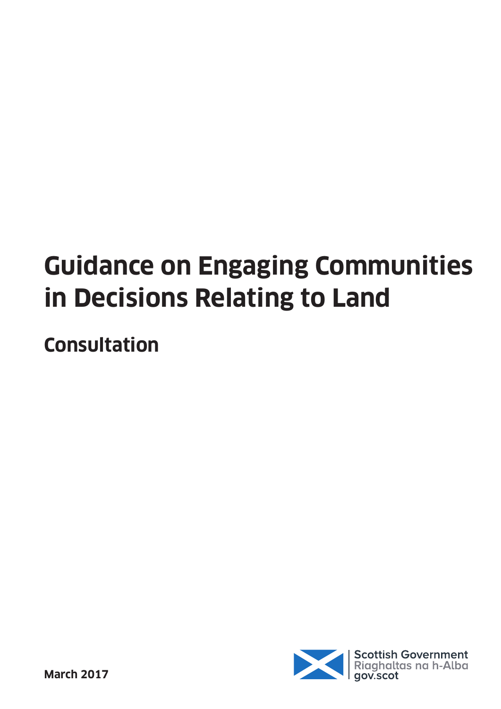# **Guidance on Engaging Communities in Decisions Relating to Land**

**Consultation**

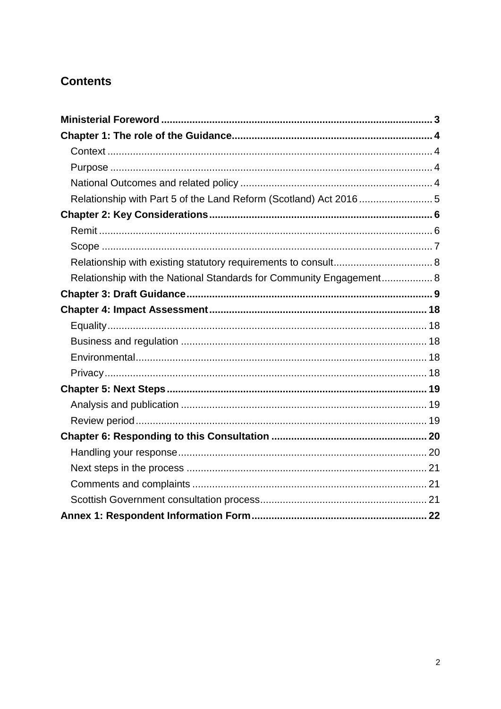## **Contents**

| Relationship with Part 5 of the Land Reform (Scotland) Act 2016  5  |  |
|---------------------------------------------------------------------|--|
|                                                                     |  |
|                                                                     |  |
|                                                                     |  |
|                                                                     |  |
| Relationship with the National Standards for Community Engagement 8 |  |
|                                                                     |  |
|                                                                     |  |
|                                                                     |  |
|                                                                     |  |
|                                                                     |  |
|                                                                     |  |
|                                                                     |  |
|                                                                     |  |
|                                                                     |  |
|                                                                     |  |
|                                                                     |  |
|                                                                     |  |
|                                                                     |  |
|                                                                     |  |
|                                                                     |  |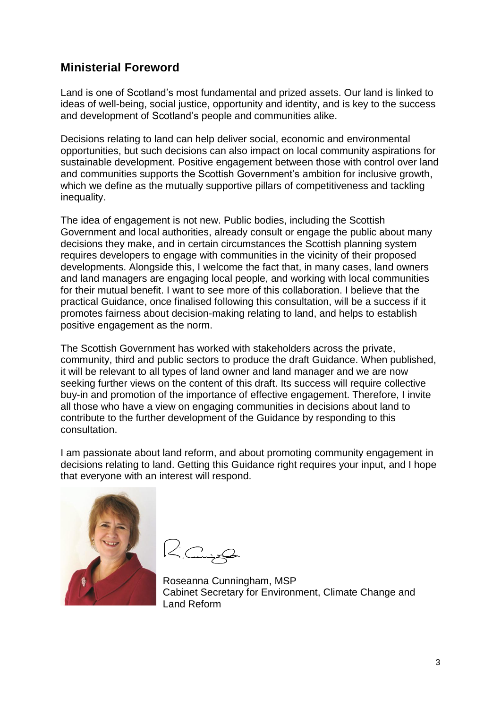## <span id="page-2-0"></span>**Ministerial Foreword**

Land is one of Scotland's most fundamental and prized assets. Our land is linked to ideas of well-being, social justice, opportunity and identity, and is key to the success and development of Scotland's people and communities alike.

Decisions relating to land can help deliver social, economic and environmental opportunities, but such decisions can also impact on local community aspirations for sustainable development. Positive engagement between those with control over land and communities supports the Scottish Government's ambition for inclusive growth, which we define as the mutually supportive pillars of competitiveness and tackling inequality.

The idea of engagement is not new. Public bodies, including the Scottish Government and local authorities, already consult or engage the public about many decisions they make, and in certain circumstances the Scottish planning system requires developers to engage with communities in the vicinity of their proposed developments. Alongside this, I welcome the fact that, in many cases, land owners and land managers are engaging local people, and working with local communities for their mutual benefit. I want to see more of this collaboration. I believe that the practical Guidance, once finalised following this consultation, will be a success if it promotes fairness about decision-making relating to land, and helps to establish positive engagement as the norm.

The Scottish Government has worked with stakeholders across the private, community, third and public sectors to produce the draft Guidance. When published, it will be relevant to all types of land owner and land manager and we are now seeking further views on the content of this draft. Its success will require collective buy-in and promotion of the importance of effective engagement. Therefore, I invite all those who have a view on engaging communities in decisions about land to contribute to the further development of the Guidance by responding to this consultation.

I am passionate about land reform, and about promoting community engagement in decisions relating to land. Getting this Guidance right requires your input, and I hope that everyone with an interest will respond.



Range

Roseanna Cunningham, MSP Cabinet Secretary for Environment, Climate Change and Land Reform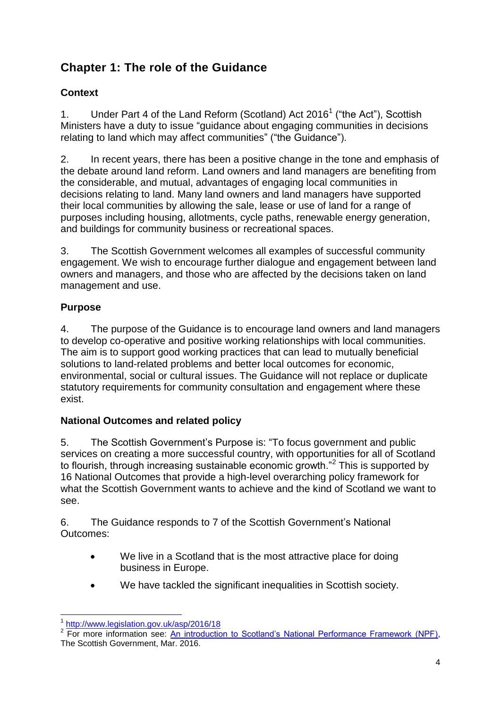## <span id="page-3-0"></span>**Chapter 1: The role of the Guidance**

## <span id="page-3-1"></span>**Context**

1. Under Part 4 of the Land Reform (Scotland) Act 2016<sup>1</sup> ("the Act"), Scottish Ministers have a duty to issue "guidance about engaging communities in decisions relating to land which may affect communities" ("the Guidance").

2. In recent years, there has been a positive change in the tone and emphasis of the debate around land reform. Land owners and land managers are benefiting from the considerable, and mutual, advantages of engaging local communities in decisions relating to land. Many land owners and land managers have supported their local communities by allowing the sale, lease or use of land for a range of purposes including housing, allotments, cycle paths, renewable energy generation, and buildings for community business or recreational spaces.

3. The Scottish Government welcomes all examples of successful community engagement. We wish to encourage further dialogue and engagement between land owners and managers, and those who are affected by the decisions taken on land management and use.

## <span id="page-3-2"></span>**Purpose**

4. The purpose of the Guidance is to encourage land owners and land managers to develop co-operative and positive working relationships with local communities. The aim is to support good working practices that can lead to mutually beneficial solutions to land-related problems and better local outcomes for economic, environmental, social or cultural issues. The Guidance will not replace or duplicate statutory requirements for community consultation and engagement where these exist.

## <span id="page-3-3"></span>**National Outcomes and related policy**

5. The Scottish Government's Purpose is: "To focus government and public services on creating a more successful country, with opportunities for all of Scotland to flourish, through increasing sustainable economic growth."<sup>2</sup> This is supported by 16 National Outcomes that provide a high-level overarching policy framework for what the Scottish Government wants to achieve and the kind of Scotland we want to see.

6. The Guidance responds to 7 of the Scottish Government's National Outcomes:

- We live in a Scotland that is the most attractive place for doing business in Europe.
- We have tackled the significant inequalities in Scottish society.

<sup>1</sup> 1 <http://www.legislation.gov.uk/asp/2016/18>

<sup>&</sup>lt;sup>2</sup> For more information see: [An introduction to Scotland's National Performance Framework \(NPF\),](http://www.gov.scot/Resource/0049/00495539.pdf) The Scottish Government, Mar. 2016.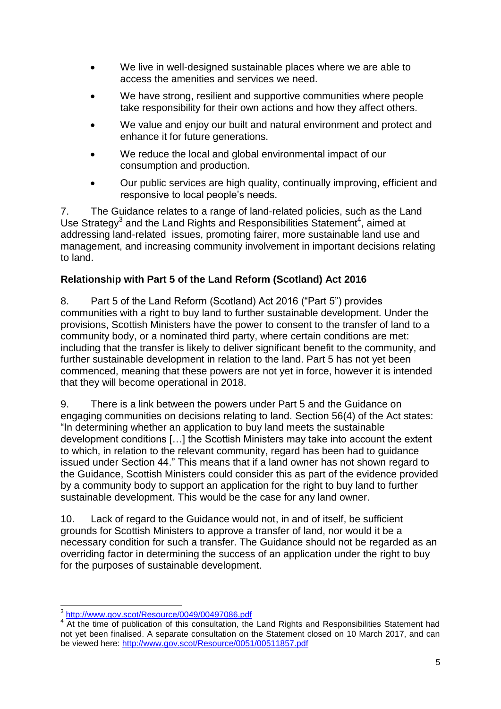- We live in well-designed sustainable places where we are able to access the amenities and services we need.
- We have strong, resilient and supportive communities where people take responsibility for their own actions and how they affect others.
- We value and enjoy our built and natural environment and protect and enhance it for future generations.
- We reduce the local and global environmental impact of our consumption and production.
- Our public services are high quality, continually improving, efficient and responsive to local people's needs.

7. The Guidance relates to a range of land-related policies, such as the Land Use Strategy<sup>3</sup> and the Land Rights and Responsibilities Statement<sup>4</sup>, aimed at addressing land-related issues, promoting fairer, more sustainable land use and management, and increasing community involvement in important decisions relating to land.

## <span id="page-4-0"></span>**Relationship with Part 5 of the Land Reform (Scotland) Act 2016**

8. Part 5 of the Land Reform (Scotland) Act 2016 ("Part 5") provides communities with a right to buy land to further sustainable development. Under the provisions, Scottish Ministers have the power to consent to the transfer of land to a community body, or a nominated third party, where certain conditions are met: including that the transfer is likely to deliver significant benefit to the community, and further sustainable development in relation to the land. Part 5 has not yet been commenced, meaning that these powers are not yet in force, however it is intended that they will become operational in 2018.

9. There is a link between the powers under Part 5 and the Guidance on engaging communities on decisions relating to land. Section 56(4) of the Act states: "In determining whether an application to buy land meets the sustainable development conditions […] the Scottish Ministers may take into account the extent to which, in relation to the relevant community, regard has been had to guidance issued under Section 44." This means that if a land owner has not shown regard to the Guidance, Scottish Ministers could consider this as part of the evidence provided by a community body to support an application for the right to buy land to further sustainable development. This would be the case for any land owner.

10. Lack of regard to the Guidance would not, in and of itself, be sufficient grounds for Scottish Ministers to approve a transfer of land, nor would it be a necessary condition for such a transfer. The Guidance should not be regarded as an overriding factor in determining the success of an application under the right to buy for the purposes of sustainable development.

 3 <http://www.gov.scot/Resource/0049/00497086.pdf>

<sup>&</sup>lt;sup>4</sup> At the time of publication of this consultation, the Land Rights and Responsibilities Statement had not yet been finalised. A separate consultation on the Statement closed on 10 March 2017, and can be viewed here:<http://www.gov.scot/Resource/0051/00511857.pdf>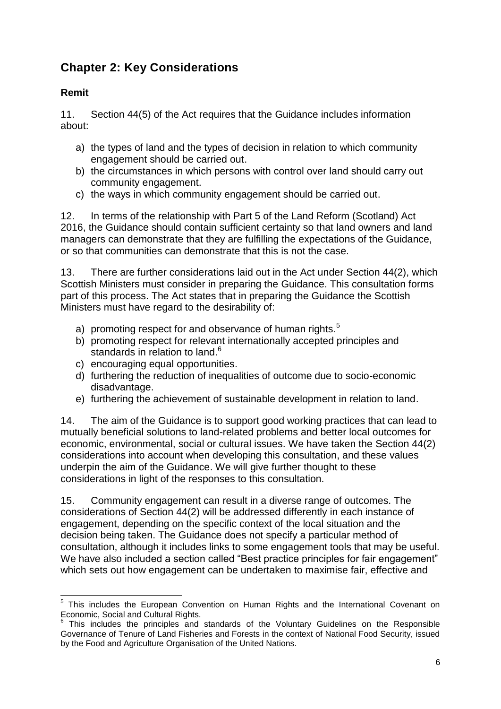## <span id="page-5-0"></span>**Chapter 2: Key Considerations**

## <span id="page-5-1"></span>**Remit**

11. Section 44(5) of the Act requires that the Guidance includes information about:

- a) the types of land and the types of decision in relation to which community engagement should be carried out.
- b) the circumstances in which persons with control over land should carry out community engagement.
- c) the ways in which community engagement should be carried out.

12. In terms of the relationship with Part 5 of the Land Reform (Scotland) Act 2016, the Guidance should contain sufficient certainty so that land owners and land managers can demonstrate that they are fulfilling the expectations of the Guidance, or so that communities can demonstrate that this is not the case.

13. There are further considerations laid out in the Act under Section 44(2), which Scottish Ministers must consider in preparing the Guidance. This consultation forms part of this process. The Act states that in preparing the Guidance the Scottish Ministers must have regard to the desirability of:

- a) promoting respect for and observance of human rights.<sup>5</sup>
- b) promoting respect for relevant internationally accepted principles and standards in relation to land.<sup>6</sup>
- c) encouraging equal opportunities.
- d) furthering the reduction of inequalities of outcome due to socio-economic disadvantage.
- e) furthering the achievement of sustainable development in relation to land.

14. The aim of the Guidance is to support good working practices that can lead to mutually beneficial solutions to land-related problems and better local outcomes for economic, environmental, social or cultural issues. We have taken the Section 44(2) considerations into account when developing this consultation, and these values underpin the aim of the Guidance. We will give further thought to these considerations in light of the responses to this consultation.

15. Community engagement can result in a diverse range of outcomes. The considerations of Section 44(2) will be addressed differently in each instance of engagement, depending on the specific context of the local situation and the decision being taken. The Guidance does not specify a particular method of consultation, although it includes links to some engagement tools that may be useful. We have also included a section called "Best practice principles for fair engagement" which sets out how engagement can be undertaken to maximise fair, effective and

 5 This includes the European Convention on Human Rights and the International Covenant on Economic, Social and Cultural Rights.

<sup>&</sup>lt;sup>6</sup> This includes the principles and standards of the Voluntary Guidelines on the Responsible Governance of Tenure of Land Fisheries and Forests in the context of National Food Security, issued by the Food and Agriculture Organisation of the United Nations.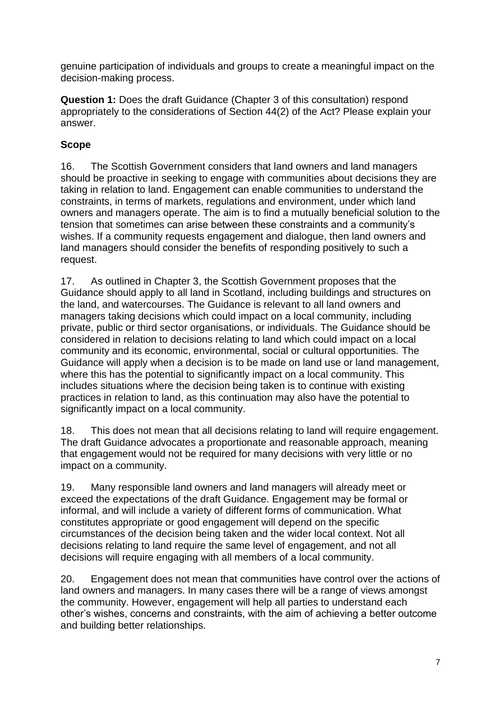genuine participation of individuals and groups to create a meaningful impact on the decision-making process.

**Question 1:** Does the draft Guidance (Chapter 3 of this consultation) respond appropriately to the considerations of Section 44(2) of the Act? Please explain your answer.

## <span id="page-6-0"></span>**Scope**

16. The Scottish Government considers that land owners and land managers should be proactive in seeking to engage with communities about decisions they are taking in relation to land. Engagement can enable communities to understand the constraints, in terms of markets, regulations and environment, under which land owners and managers operate. The aim is to find a mutually beneficial solution to the tension that sometimes can arise between these constraints and a community's wishes. If a community requests engagement and dialogue, then land owners and land managers should consider the benefits of responding positively to such a request.

17. As outlined in Chapter 3, the Scottish Government proposes that the Guidance should apply to all land in Scotland, including buildings and structures on the land, and watercourses. The Guidance is relevant to all land owners and managers taking decisions which could impact on a local community, including private, public or third sector organisations, or individuals. The Guidance should be considered in relation to decisions relating to land which could impact on a local community and its economic, environmental, social or cultural opportunities. The Guidance will apply when a decision is to be made on land use or land management, where this has the potential to significantly impact on a local community. This includes situations where the decision being taken is to continue with existing practices in relation to land, as this continuation may also have the potential to significantly impact on a local community.

18. This does not mean that all decisions relating to land will require engagement. The draft Guidance advocates a proportionate and reasonable approach, meaning that engagement would not be required for many decisions with very little or no impact on a community.

19. Many responsible land owners and land managers will already meet or exceed the expectations of the draft Guidance. Engagement may be formal or informal, and will include a variety of different forms of communication. What constitutes appropriate or good engagement will depend on the specific circumstances of the decision being taken and the wider local context. Not all decisions relating to land require the same level of engagement, and not all decisions will require engaging with all members of a local community.

20. Engagement does not mean that communities have control over the actions of land owners and managers. In many cases there will be a range of views amongst the community. However, engagement will help all parties to understand each other's wishes, concerns and constraints, with the aim of achieving a better outcome and building better relationships.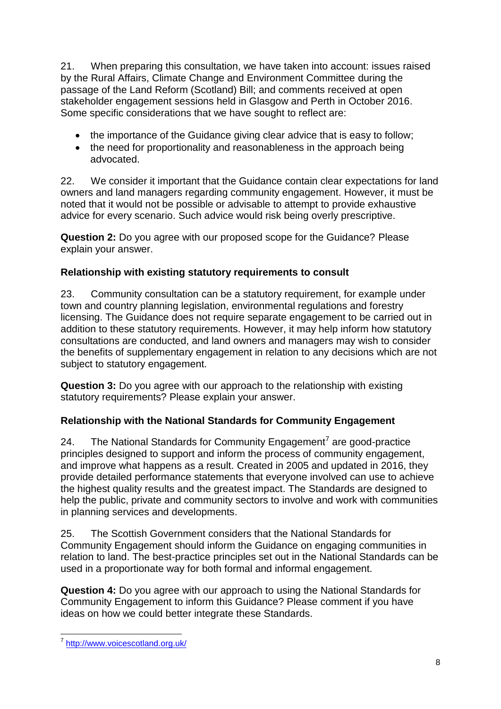21. When preparing this consultation, we have taken into account: issues raised by the Rural Affairs, Climate Change and Environment Committee during the passage of the Land Reform (Scotland) Bill; and comments received at open stakeholder engagement sessions held in Glasgow and Perth in October 2016. Some specific considerations that we have sought to reflect are:

- the importance of the Guidance giving clear advice that is easy to follow;
- the need for proportionality and reasonableness in the approach being advocated.

22. We consider it important that the Guidance contain clear expectations for land owners and land managers regarding community engagement. However, it must be noted that it would not be possible or advisable to attempt to provide exhaustive advice for every scenario. Such advice would risk being overly prescriptive.

**Question 2:** Do you agree with our proposed scope for the Guidance? Please explain your answer.

## <span id="page-7-0"></span>**Relationship with existing statutory requirements to consult**

23. Community consultation can be a statutory requirement, for example under town and country planning legislation, environmental regulations and forestry licensing. The Guidance does not require separate engagement to be carried out in addition to these statutory requirements. However, it may help inform how statutory consultations are conducted, and land owners and managers may wish to consider the benefits of supplementary engagement in relation to any decisions which are not subject to statutory engagement.

**Question 3:** Do you agree with our approach to the relationship with existing statutory requirements? Please explain your answer.

## <span id="page-7-1"></span>**Relationship with the National Standards for Community Engagement**

24. The National Standards for Community Engagement<sup>7</sup> are good-practice principles designed to support and inform the process of community engagement, and improve what happens as a result. Created in 2005 and updated in 2016, they provide detailed performance statements that everyone involved can use to achieve the highest quality results and the greatest impact. The Standards are designed to help the public, private and community sectors to involve and work with communities in planning services and developments.

25. The Scottish Government considers that the National Standards for Community Engagement should inform the Guidance on engaging communities in relation to land. The best-practice principles set out in the National Standards can be used in a proportionate way for both formal and informal engagement.

**Question 4:** Do you agree with our approach to using the National Standards for Community Engagement to inform this Guidance? Please comment if you have ideas on how we could better integrate these Standards.

 7 <http://www.voicescotland.org.uk/>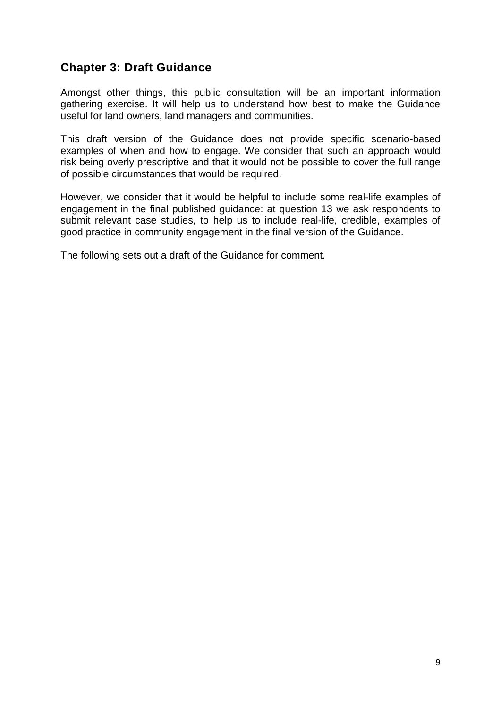## <span id="page-8-0"></span>**Chapter 3: Draft Guidance**

Amongst other things, this public consultation will be an important information gathering exercise. It will help us to understand how best to make the Guidance useful for land owners, land managers and communities.

This draft version of the Guidance does not provide specific scenario-based examples of when and how to engage. We consider that such an approach would risk being overly prescriptive and that it would not be possible to cover the full range of possible circumstances that would be required.

However, we consider that it would be helpful to include some real-life examples of engagement in the final published guidance: at question 13 we ask respondents to submit relevant case studies, to help us to include real-life, credible, examples of good practice in community engagement in the final version of the Guidance.

The following sets out a draft of the Guidance for comment.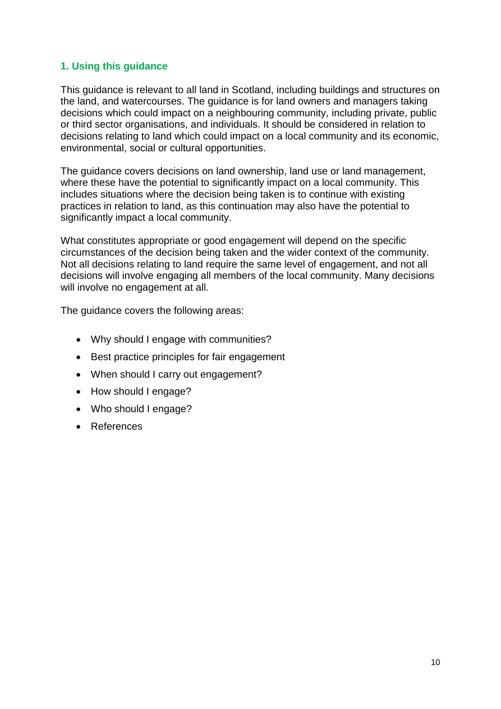## **1. Using this guidance**

This guidance is relevant to all land in Scotland, including buildings and structures on the land, and watercourses. The guidance is for land owners and managers taking decisions which could impact on a neighbouring community, including private, public or third sector organisations, and individuals. It should be considered in relation to decisions relating to land which could impact on a local community and its economic, environmental, social or cultural opportunities.

The guidance covers decisions on land ownership, land use or land management, where these have the potential to significantly impact on a local community. This includes situations where the decision being taken is to continue with existing practices in relation to land, as this continuation may also have the potential to significantly impact a local community.

What constitutes appropriate or good engagement will depend on the specific circumstances of the decision being taken and the wider context of the community. Not all decisions relating to land require the same level of engagement, and not all decisions will involve engaging all members of the local community. Many decisions will involve no engagement at all.

The guidance covers the following areas:

- Why should I engage with communities?
- Best practice principles for fair engagement
- When should I carry out engagement?
- How should I engage?
- Who should I engage?
- References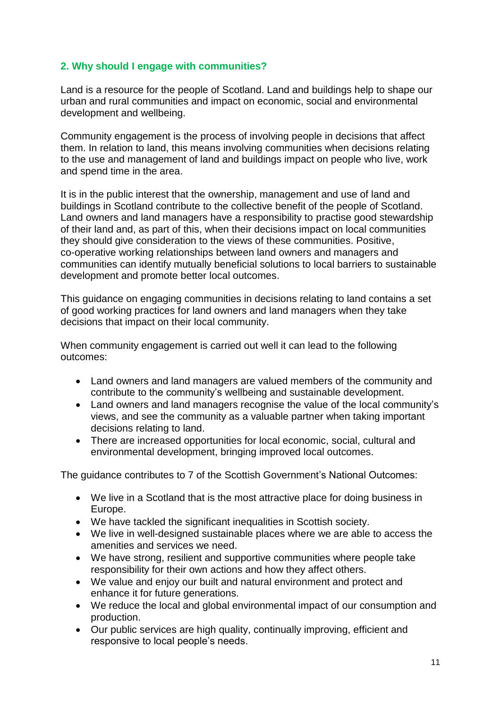## **2. Why should I engage with communities?**

Land is a resource for the people of Scotland. Land and buildings help to shape our urban and rural communities and impact on economic, social and environmental development and wellbeing.

Community engagement is the process of involving people in decisions that affect them. In relation to land, this means involving communities when decisions relating to the use and management of land and buildings impact on people who live, work and spend time in the area.

It is in the public interest that the ownership, management and use of land and buildings in Scotland contribute to the collective benefit of the people of Scotland. Land owners and land managers have a responsibility to practise good stewardship of their land and, as part of this, when their decisions impact on local communities they should give consideration to the views of these communities. Positive, co-operative working relationships between land owners and managers and communities can identify mutually beneficial solutions to local barriers to sustainable development and promote better local outcomes.

This guidance on engaging communities in decisions relating to land contains a set of good working practices for land owners and land managers when they take decisions that impact on their local community.

When community engagement is carried out well it can lead to the following outcomes:

- Land owners and land managers are valued members of the community and contribute to the community's wellbeing and sustainable development.
- Land owners and land managers recognise the value of the local community's views, and see the community as a valuable partner when taking important decisions relating to land.
- There are increased opportunities for local economic, social, cultural and environmental development, bringing improved local outcomes.

The guidance contributes to 7 of the Scottish Government's National Outcomes:

- We live in a Scotland that is the most attractive place for doing business in Europe.
- We have tackled the significant inequalities in Scottish society.
- We live in well-designed sustainable places where we are able to access the amenities and services we need.
- We have strong, resilient and supportive communities where people take responsibility for their own actions and how they affect others.
- We value and enjoy our built and natural environment and protect and enhance it for future generations.
- We reduce the local and global environmental impact of our consumption and production.
- Our public services are high quality, continually improving, efficient and responsive to local people's needs.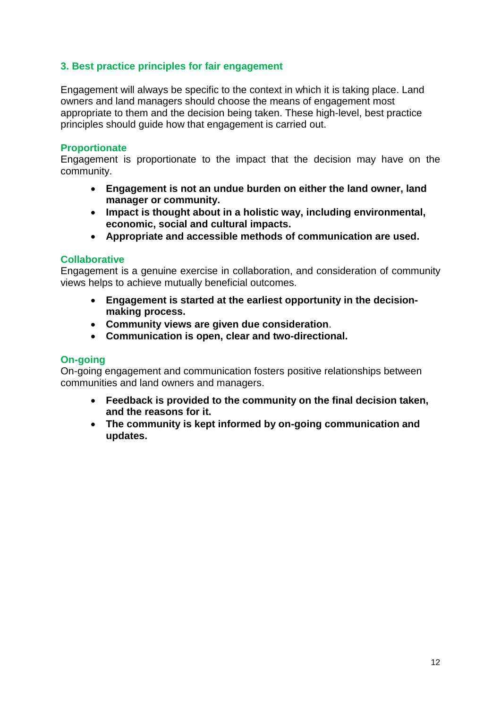## **3. Best practice principles for fair engagement**

Engagement will always be specific to the context in which it is taking place. Land owners and land managers should choose the means of engagement most appropriate to them and the decision being taken. These high-level, best practice principles should guide how that engagement is carried out.

#### **Proportionate**

Engagement is proportionate to the impact that the decision may have on the community.

- **Engagement is not an undue burden on either the land owner, land manager or community.**
- **Impact is thought about in a holistic way, including environmental, economic, social and cultural impacts.**
- **Appropriate and accessible methods of communication are used.**

#### **Collaborative**

Engagement is a genuine exercise in collaboration, and consideration of community views helps to achieve mutually beneficial outcomes.

- **Engagement is started at the earliest opportunity in the decisionmaking process.**
- **Community views are given due consideration**.
- **Communication is open, clear and two-directional.**

#### **On-going**

On-going engagement and communication fosters positive relationships between communities and land owners and managers.

- **Feedback is provided to the community on the final decision taken, and the reasons for it.**
- **The community is kept informed by on-going communication and updates.**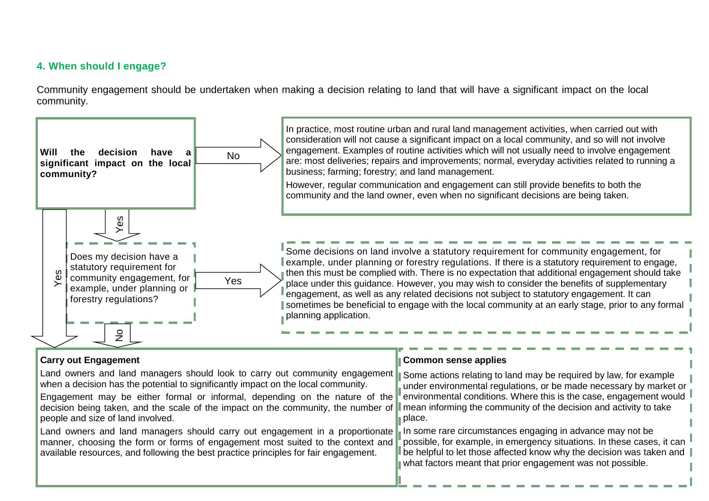#### **4. When should I engage?**

Community engagement should be undertaken when making a decision relating to land that will have a significant impact on the local community.



#### **Carry out Engagement**

Land owners and land managers should look to carry out community engagement when a decision has the potential to significantly impact on the local community.

Engagement may be either formal or informal, depending on the nature of the decision being taken, and the scale of the impact on the community, the number of people and size of land involved. **Example 19 and Set of the managers should look to carry out community engagement**<br>Land owners and land managers should look to carry out community engagement<br>when a decision has the potential to significantly impact on t

Land owners and land managers should carry out engagement in a proportionate manner, choosing the form or forms of engagement most suited to the context and available resources, and following the best practice principles for fair engagement.

#### **Common sense applies**

Some actions relating to land may be required by law, for example under environmental regulations, or be made necessary by market or environmental conditions. Where this is the case, engagement would mean informing the community of the decision and activity to take place.

be helpful to let those affected know why the decision was taken and In some rare circumstances engaging in advance may not be possible, for example, in emergency situations. In these cases, it can what factors meant that prior engagement was not possible.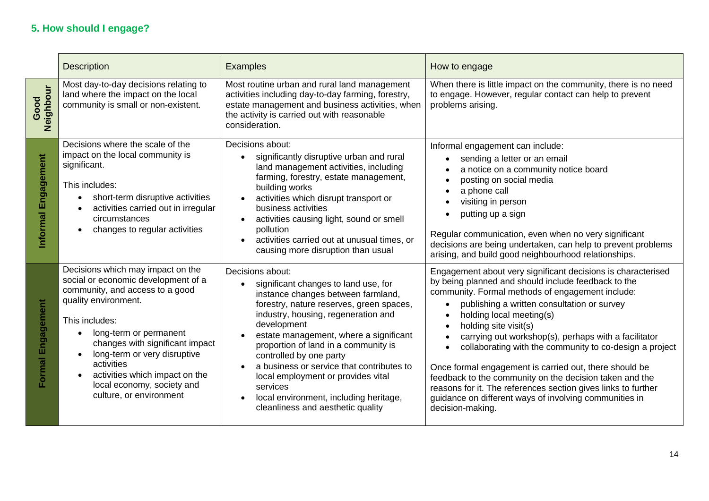## **5. How should I engage?**

|                      | <b>Description</b>                                                                                                                                                                                                                                                                                                                                                       | <b>Examples</b>                                                                                                                                                                                                                                                                                                                                                                                                                                                                             | How to engage                                                                                                                                                                                                                                                                                                                                                                                                                                                                                                                                                                                                                                                      |
|----------------------|--------------------------------------------------------------------------------------------------------------------------------------------------------------------------------------------------------------------------------------------------------------------------------------------------------------------------------------------------------------------------|---------------------------------------------------------------------------------------------------------------------------------------------------------------------------------------------------------------------------------------------------------------------------------------------------------------------------------------------------------------------------------------------------------------------------------------------------------------------------------------------|--------------------------------------------------------------------------------------------------------------------------------------------------------------------------------------------------------------------------------------------------------------------------------------------------------------------------------------------------------------------------------------------------------------------------------------------------------------------------------------------------------------------------------------------------------------------------------------------------------------------------------------------------------------------|
| Neighbour<br>Good    | Most day-to-day decisions relating to<br>land where the impact on the local<br>community is small or non-existent.                                                                                                                                                                                                                                                       | Most routine urban and rural land management<br>activities including day-to-day farming, forestry,<br>estate management and business activities, when<br>the activity is carried out with reasonable<br>consideration.                                                                                                                                                                                                                                                                      | When there is little impact on the community, there is no need<br>to engage. However, regular contact can help to prevent<br>problems arising.                                                                                                                                                                                                                                                                                                                                                                                                                                                                                                                     |
| Informal Engagement  | Decisions where the scale of the<br>impact on the local community is<br>significant.<br>This includes:<br>short-term disruptive activities<br>$\bullet$<br>activities carried out in irregular<br>circumstances<br>changes to regular activities                                                                                                                         | Decisions about:<br>significantly disruptive urban and rural<br>land management activities, including<br>farming, forestry, estate management,<br>building works<br>activities which disrupt transport or<br>business activities<br>activities causing light, sound or smell<br>$\bullet$<br>pollution<br>activities carried out at unusual times, or<br>causing more disruption than usual                                                                                                 | Informal engagement can include:<br>sending a letter or an email<br>a notice on a community notice board<br>posting on social media<br>a phone call<br>visiting in person<br>putting up a sign<br>Regular communication, even when no very significant<br>decisions are being undertaken, can help to prevent problems<br>arising, and build good neighbourhood relationships.                                                                                                                                                                                                                                                                                     |
| Engagement<br>Formal | Decisions which may impact on the<br>social or economic development of a<br>community, and access to a good<br>quality environment.<br>This includes:<br>long-term or permanent<br>$\bullet$<br>changes with significant impact<br>long-term or very disruptive<br>activities<br>activities which impact on the<br>local economy, society and<br>culture, or environment | Decisions about:<br>significant changes to land use, for<br>instance changes between farmland,<br>forestry, nature reserves, green spaces,<br>industry, housing, regeneration and<br>development<br>estate management, where a significant<br>proportion of land in a community is<br>controlled by one party<br>a business or service that contributes to<br>local employment or provides vital<br>services<br>local environment, including heritage,<br>cleanliness and aesthetic quality | Engagement about very significant decisions is characterised<br>by being planned and should include feedback to the<br>community. Formal methods of engagement include:<br>publishing a written consultation or survey<br>holding local meeting(s)<br>holding site visit(s)<br>carrying out workshop(s), perhaps with a facilitator<br>collaborating with the community to co-design a project<br>Once formal engagement is carried out, there should be<br>feedback to the community on the decision taken and the<br>reasons for it. The references section gives links to further<br>guidance on different ways of involving communities in<br>decision-making. |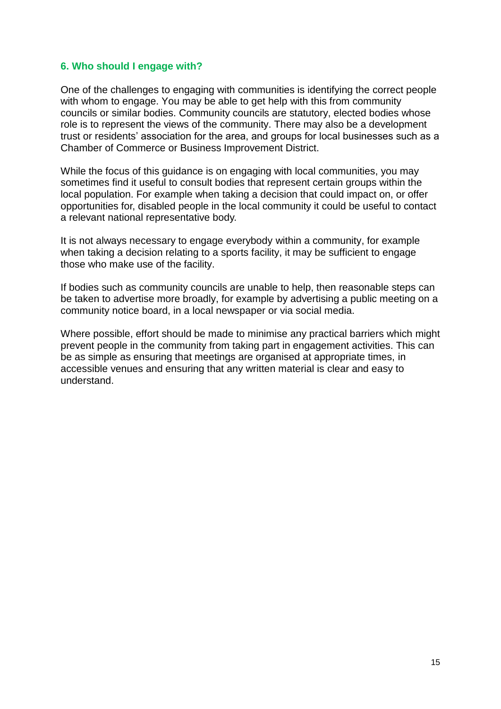#### **6. Who should I engage with?**

One of the challenges to engaging with communities is identifying the correct people with whom to engage. You may be able to get help with this from community councils or similar bodies. Community councils are statutory, elected bodies whose role is to represent the views of the community. There may also be a development trust or residents' association for the area, and groups for local businesses such as a Chamber of Commerce or Business Improvement District.

While the focus of this guidance is on engaging with local communities, you may sometimes find it useful to consult bodies that represent certain groups within the local population. For example when taking a decision that could impact on, or offer opportunities for, disabled people in the local community it could be useful to contact a relevant national representative body.

It is not always necessary to engage everybody within a community, for example when taking a decision relating to a sports facility, it may be sufficient to engage those who make use of the facility.

If bodies such as community councils are unable to help, then reasonable steps can be taken to advertise more broadly, for example by advertising a public meeting on a community notice board, in a local newspaper or via social media.

Where possible, effort should be made to minimise any practical barriers which might prevent people in the community from taking part in engagement activities. This can be as simple as ensuring that meetings are organised at appropriate times, in accessible venues and ensuring that any written material is clear and easy to understand.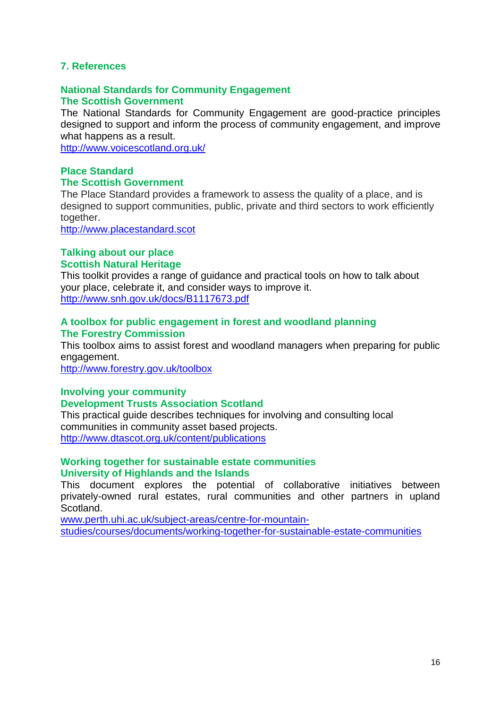#### **7. References**

#### **National Standards for Community Engagement The Scottish Government**

The National Standards for Community Engagement are good-practice principles designed to support and inform the process of community engagement, and improve what happens as a result.

<http://www.voicescotland.org.uk/>

## **Place Standard**

#### **The Scottish Government**

The Place Standard provides a framework to assess the quality of a place, and is designed to support communities, public, private and third sectors to work efficiently together.

[http://www.placestandard.scot](http://www.placestandard.scot/)

#### **Talking about our place Scottish Natural Heritage**

This toolkit provides a range of guidance and practical tools on how to talk about your place, celebrate it, and consider ways to improve it. <http://www.snh.gov.uk/docs/B1117673.pdf>

#### **A toolbox for public engagement in forest and woodland planning The Forestry Commission**

This toolbox aims to assist forest and woodland managers when preparing for public engagement.

<http://www.forestry.gov.uk/toolbox>

#### **Involving your community**

#### **Development Trusts Association Scotland**

This practical guide describes techniques for involving and consulting local communities in community asset based projects. <http://www.dtascot.org.uk/content/publications>

#### **Working together for sustainable estate communities University of Highlands and the Islands**

This document explores the potential of collaborative initiatives between privately-owned rural estates, rural communities and other partners in upland Scotland.

[www.perth.uhi.ac.uk/subject-areas/centre-for-mountain](http://www.perth.uhi.ac.uk/subject-areas/centre-for-mountain-studies/courses/documents/working-together-for-sustainable-estate-communities)[studies/courses/documents/working-together-for-sustainable-estate-communities](http://www.perth.uhi.ac.uk/subject-areas/centre-for-mountain-studies/courses/documents/working-together-for-sustainable-estate-communities)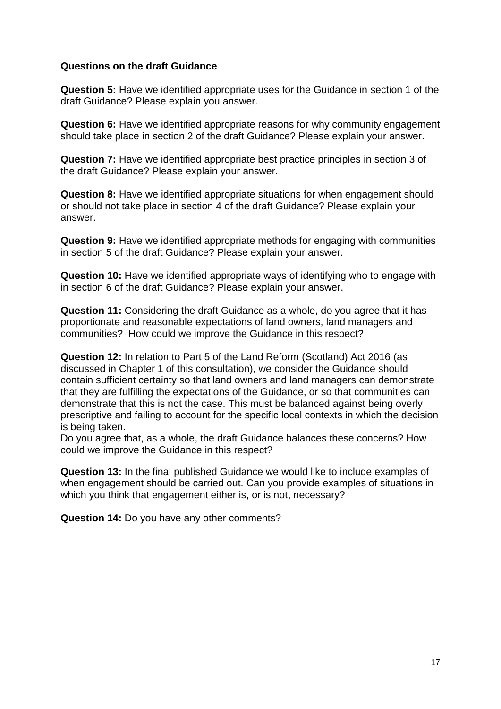#### **Questions on the draft Guidance**

**Question 5:** Have we identified appropriate uses for the Guidance in section 1 of the draft Guidance? Please explain you answer.

**Question 6:** Have we identified appropriate reasons for why community engagement should take place in section 2 of the draft Guidance? Please explain your answer.

**Question 7:** Have we identified appropriate best practice principles in section 3 of the draft Guidance? Please explain your answer.

**Question 8:** Have we identified appropriate situations for when engagement should or should not take place in section 4 of the draft Guidance? Please explain your answer.

**Question 9:** Have we identified appropriate methods for engaging with communities in section 5 of the draft Guidance? Please explain your answer.

**Question 10:** Have we identified appropriate ways of identifying who to engage with in section 6 of the draft Guidance? Please explain your answer.

**Question 11:** Considering the draft Guidance as a whole, do you agree that it has proportionate and reasonable expectations of land owners, land managers and communities? How could we improve the Guidance in this respect?

**Question 12:** In relation to Part 5 of the Land Reform (Scotland) Act 2016 (as discussed in Chapter 1 of this consultation), we consider the Guidance should contain sufficient certainty so that land owners and land managers can demonstrate that they are fulfilling the expectations of the Guidance, or so that communities can demonstrate that this is not the case. This must be balanced against being overly prescriptive and failing to account for the specific local contexts in which the decision is being taken.

Do you agree that, as a whole, the draft Guidance balances these concerns? How could we improve the Guidance in this respect?

**Question 13:** In the final published Guidance we would like to include examples of when engagement should be carried out. Can you provide examples of situations in which you think that engagement either is, or is not, necessary?

**Question 14:** Do you have any other comments?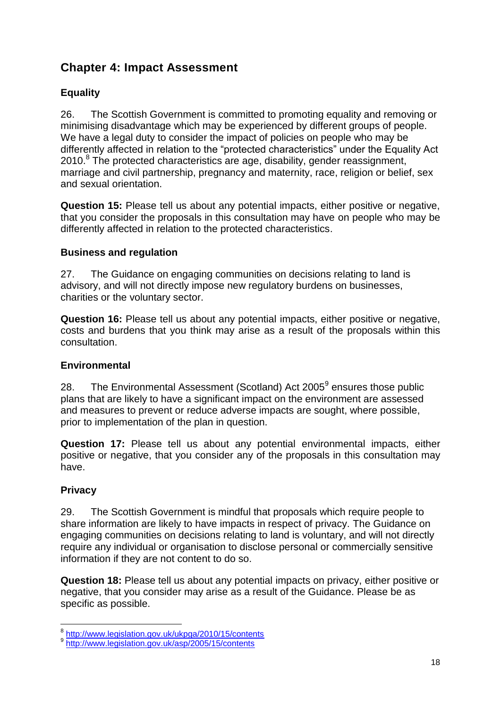## <span id="page-17-0"></span>**Chapter 4: Impact Assessment**

## <span id="page-17-1"></span>**Equality**

26. The Scottish Government is committed to promoting equality and removing or minimising disadvantage which may be experienced by different groups of people. We have a legal duty to consider the impact of policies on people who may be differently affected in relation to the "protected characteristics" under the Equality Act 2010.<sup>8</sup> The protected characteristics are age, disability, gender reassignment, marriage and civil partnership, pregnancy and maternity, race, religion or belief, sex and sexual orientation.

**Question 15:** Please tell us about any potential impacts, either positive or negative, that you consider the proposals in this consultation may have on people who may be differently affected in relation to the protected characteristics.

## <span id="page-17-2"></span>**Business and regulation**

27. The Guidance on engaging communities on decisions relating to land is advisory, and will not directly impose new regulatory burdens on businesses, charities or the voluntary sector.

**Question 16:** Please tell us about any potential impacts, either positive or negative, costs and burdens that you think may arise as a result of the proposals within this consultation.

## <span id="page-17-3"></span>**Environmental**

28. The Environmental Assessment (Scotland) Act 2005<sup>9</sup> ensures those public plans that are likely to have a significant impact on the environment are assessed and measures to prevent or reduce adverse impacts are sought, where possible, prior to implementation of the plan in question.

**Question 17:** Please tell us about any potential environmental impacts, either positive or negative, that you consider any of the proposals in this consultation may have.

## <span id="page-17-4"></span>**Privacy**

29. The Scottish Government is mindful that proposals which require people to share information are likely to have impacts in respect of privacy. The Guidance on engaging communities on decisions relating to land is voluntary, and will not directly require any individual or organisation to disclose personal or commercially sensitive information if they are not content to do so.

**Question 18:** Please tell us about any potential impacts on privacy, either positive or negative, that you consider may arise as a result of the Guidance. Please be as specific as possible.

 8 <http://www.legislation.gov.uk/ukpga/2010/15/contents>

<sup>9</sup> <http://www.legislation.gov.uk/asp/2005/15/contents>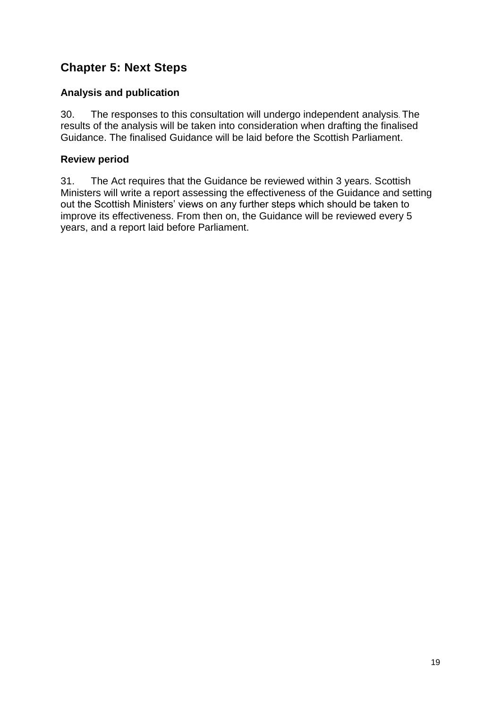## <span id="page-18-0"></span>**Chapter 5: Next Steps**

## <span id="page-18-1"></span>**Analysis and publication**

30. The responses to this consultation will undergo independent analysis. The results of the analysis will be taken into consideration when drafting the finalised Guidance. The finalised Guidance will be laid before the Scottish Parliament.

## <span id="page-18-2"></span>**Review period**

31. The Act requires that the Guidance be reviewed within 3 years. Scottish Ministers will write a report assessing the effectiveness of the Guidance and setting out the Scottish Ministers' views on any further steps which should be taken to improve its effectiveness. From then on, the Guidance will be reviewed every 5 years, and a report laid before Parliament.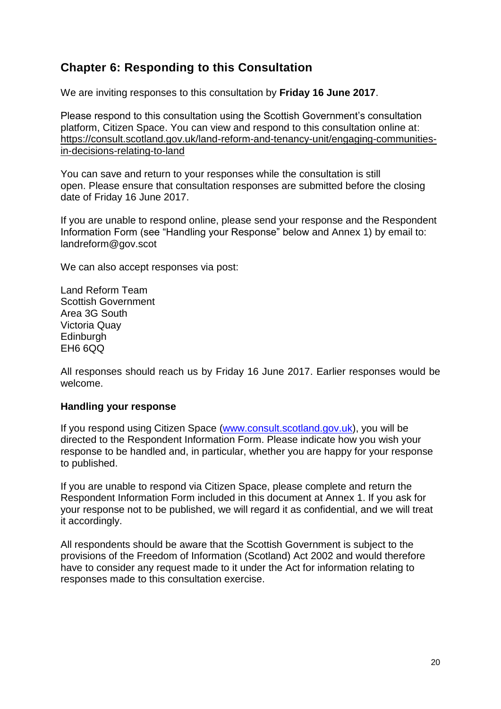## **Chapter 6: Responding to this Consultation**

We are inviting responses to this consultation by **Friday 16 June 2017**.

Please respond to this consultation using the Scottish Government's consultation platform, Citizen Space. You can view and respond to this consultation online at: [https://consult.scotland.gov.uk/land-reform-and-tenancy-unit/engaging-communities](https://consult.scotland.gov.uk/land-reform-and-tenancy-unit/engaging-communities-in-decisions-relating-to-land)[in-decisions-relating-to-land](https://consult.scotland.gov.uk/land-reform-and-tenancy-unit/engaging-communities-in-decisions-relating-to-land)

You can save and return to your responses while the consultation is still open. Please ensure that consultation responses are submitted before the closing date of Friday 16 June 2017.

If you are unable to respond online, please send your response and the Respondent Information Form (see "Handling your Response" below and Annex 1) by email to: landreform@gov.scot

We can also accept responses via post:

Land Reform Team Scottish Government Area 3G South Victoria Quay **Edinburgh** EH6 6QQ

All responses should reach us by Friday 16 June 2017. Earlier responses would be welcome.

#### <span id="page-19-0"></span>**Handling your response**

If you respond using Citizen Space [\(www.consult.scotland.gov.uk\)](http://www.consult.scotland.gov.uk/), you will be directed to the Respondent Information Form. Please indicate how you wish your response to be handled and, in particular, whether you are happy for your response to published.

If you are unable to respond via Citizen Space, please complete and return the Respondent Information Form included in this document at Annex 1. If you ask for your response not to be published, we will regard it as confidential, and we will treat it accordingly.

<span id="page-19-1"></span>All respondents should be aware that the Scottish Government is subject to the provisions of the Freedom of Information (Scotland) Act 2002 and would therefore have to consider any request made to it under the Act for information relating to responses made to this consultation exercise.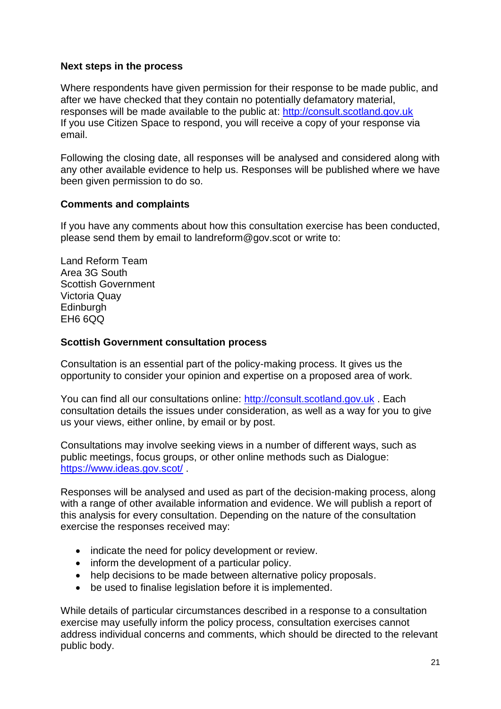#### **Next steps in the process**

Where respondents have given permission for their response to be made public, and after we have checked that they contain no potentially defamatory material, responses will be made available to the public at: [http://consult.scotland.gov.uk](http://consult.scotland.gov.uk/) If you use Citizen Space to respond, you will receive a copy of your response via email.

Following the closing date, all responses will be analysed and considered along with any other available evidence to help us. Responses will be published where we have been given permission to do so.

#### <span id="page-20-0"></span>**Comments and complaints**

If you have any comments about how this consultation exercise has been conducted, please send them by email to landreform@gov.scot or write to:

<span id="page-20-1"></span>Land Reform Team Area 3G South Scottish Government Victoria Quay Edinburgh EH6 6QQ

#### **Scottish Government consultation process**

Consultation is an essential part of the policy-making process. It gives us the opportunity to consider your opinion and expertise on a proposed area of work.

You can find all our consultations online: [http://consult.scotland.gov.uk](http://consult.scotland.gov.uk/) . Each consultation details the issues under consideration, as well as a way for you to give us your views, either online, by email or by post.

Consultations may involve seeking views in a number of different ways, such as public meetings, focus groups, or other online methods such as Dialogue: <https://www.ideas.gov.scot/> .

Responses will be analysed and used as part of the decision-making process, along with a range of other available information and evidence. We will publish a report of this analysis for every consultation. Depending on the nature of the consultation exercise the responses received may:

- indicate the need for policy development or review.
- inform the development of a particular policy.
- help decisions to be made between alternative policy proposals.
- be used to finalise legislation before it is implemented.

While details of particular circumstances described in a response to a consultation exercise may usefully inform the policy process, consultation exercises cannot address individual concerns and comments, which should be directed to the relevant public body.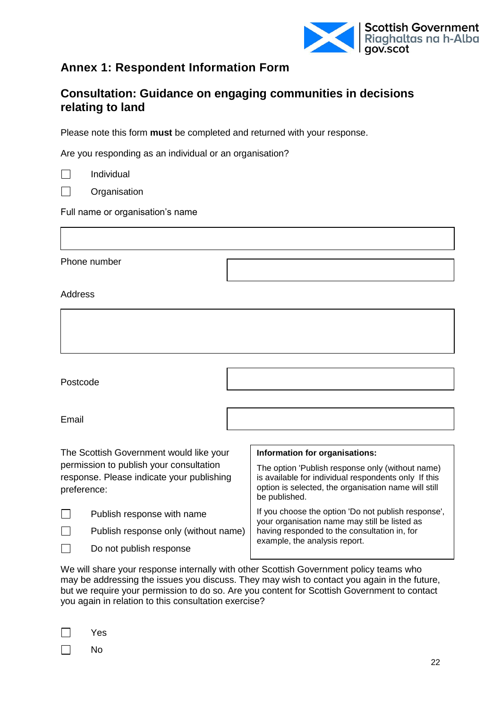

## <span id="page-21-0"></span>**Annex 1: Respondent Information Form**

## **Consultation: Guidance on engaging communities in decisions relating to land**

Please note this form **must** be completed and returned with your response.

Are you responding as an individual or an organisation?

**Organisation** П

Full name or organisation's name

Phone number

Address

| Postcode                                                                                                                                       |                                      |                                                                               |                                                                                                                                                                                   |
|------------------------------------------------------------------------------------------------------------------------------------------------|--------------------------------------|-------------------------------------------------------------------------------|-----------------------------------------------------------------------------------------------------------------------------------------------------------------------------------|
|                                                                                                                                                |                                      |                                                                               |                                                                                                                                                                                   |
| Email                                                                                                                                          |                                      |                                                                               |                                                                                                                                                                                   |
|                                                                                                                                                |                                      |                                                                               |                                                                                                                                                                                   |
| The Scottish Government would like your<br>permission to publish your consultation<br>response. Please indicate your publishing<br>preference: |                                      |                                                                               | Information for organisations:                                                                                                                                                    |
|                                                                                                                                                |                                      |                                                                               | The option 'Publish response only (without name)<br>is available for individual respondents only If this<br>option is selected, the organisation name will still<br>be published. |
|                                                                                                                                                | Publish response with name           |                                                                               | If you choose the option 'Do not publish response',<br>your organisation name may still be listed as                                                                              |
|                                                                                                                                                | Publish response only (without name) | having responded to the consultation in, for<br>example, the analysis report. |                                                                                                                                                                                   |
|                                                                                                                                                | Do not publish response              |                                                                               |                                                                                                                                                                                   |
|                                                                                                                                                |                                      |                                                                               |                                                                                                                                                                                   |

We will share your response internally with other Scottish Government policy teams who may be addressing the issues you discuss. They may wish to contact you again in the future, but we require your permission to do so. Are you content for Scottish Government to contact you again in relation to this consultation exercise?

| Yes |
|-----|
| No  |